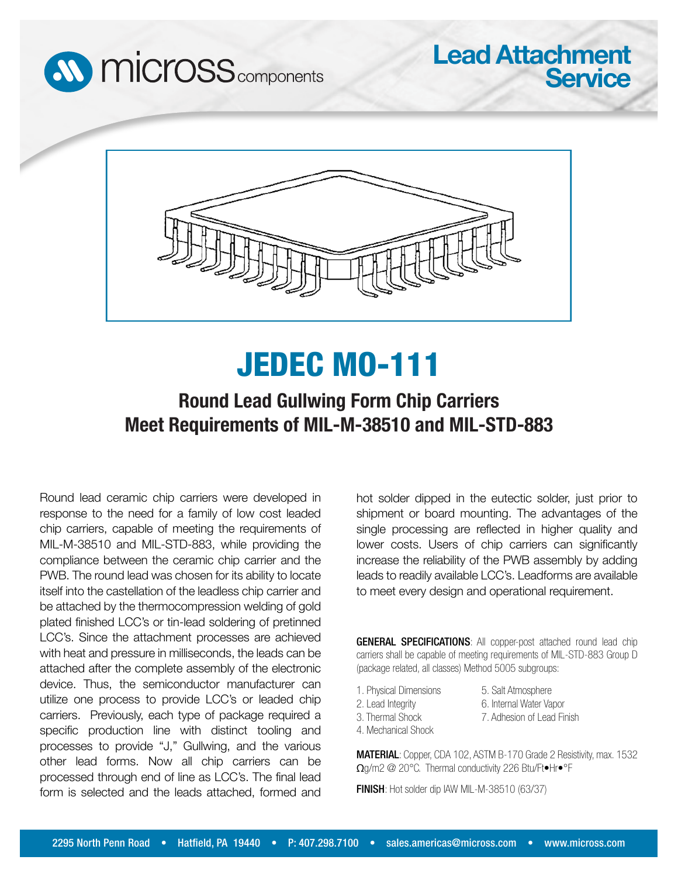



## JEDEC MO-111

## **Round Lead Gullwing Form Chip Carriers Meet Requirements of MIL-M-38510 and MIL-STD-883**

Round lead ceramic chip carriers were developed in response to the need for a family of low cost leaded chip carriers, capable of meeting the requirements of MIL-M-38510 and MIL-STD-883, while providing the compliance between the ceramic chip carrier and the PWB. The round lead was chosen for its ability to locate itself into the castellation of the leadless chip carrier and be attached by the thermocompression welding of gold plated finished LCC's or tin-lead soldering of pretinned LCC's. Since the attachment processes are achieved with heat and pressure in milliseconds, the leads can be attached after the complete assembly of the electronic device. Thus, the semiconductor manufacturer can utilize one process to provide LCC's or leaded chip carriers. Previously, each type of package required a specific production line with distinct tooling and processes to provide "J," Gullwing, and the various other lead forms. Now all chip carriers can be processed through end of line as LCC's. The final lead form is selected and the leads attached, formed and

hot solder dipped in the eutectic solder, just prior to shipment or board mounting. The advantages of the single processing are reflected in higher quality and lower costs. Users of chip carriers can significantly increase the reliability of the PWB assembly by adding leads to readily available LCC's. Leadforms are available to meet every design and operational requirement.

**Lead Attachment**

**Service**

GENERAL SPECIFICATIONS: All copper-post attached round lead chip carriers shall be capable of meeting requirements of MIL-STD-883 Group D (package related, all classes) Method 5005 subgroups:

1. Physical Dimensions 2. Lead Integrity

5. Salt Atmosphere 6. Internal Water Vapor 7. Adhesion of Lead Finish

- 3. Thermal Shock
- 4. Mechanical Shock

MATERIAL: Copper, CDA 102, ASTM B-170 Grade 2 Resistivity, max. 1532 Ωg/m2 @ 20°C. Thermal conductivity 226 Btu/Ft•Hr•°F

FINISH: Hot solder dip IAW MIL-M-38510 (63/37)